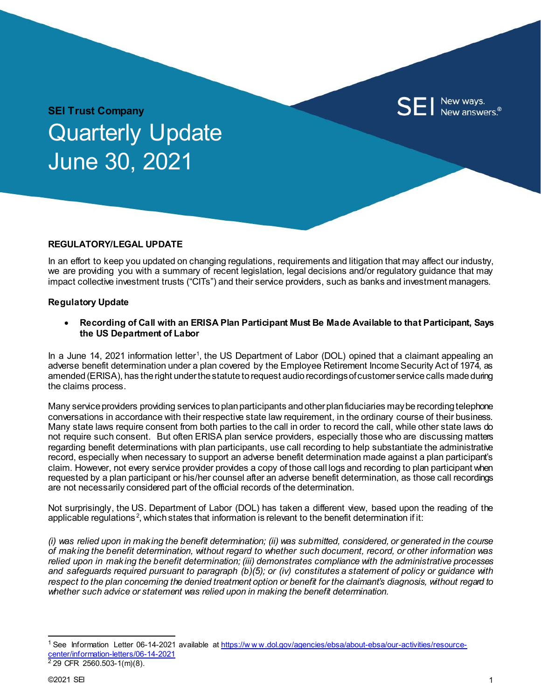

# **SEI Trust Company** Quarterly Update June 30, 2021

### **REGULATORY/LEGAL UPDATE**

In an effort to keep you updated on changing regulations, requirements and litigation that may affect our industry, we are providing you with a summary of recent legislation, legal decisions and/or regulatory guidance that may impact collective investment trusts ("CITs") and their service providers, such as banks and investment managers.

### **Regulatory Update**

• **Recording of Call with an ERISA Plan Participant Must Be Made Available to that Participant, Says the US Department of Labor**

In a June [1](#page-0-0)4, 2021 information letter<sup>1</sup>, the US Department of Labor (DOL) opined that a claimant appealing an adverse benefit determination under a plan covered by the Employee Retirement Income Security Act of 1974, as amended (ERISA), has the right under the statute to request audio recordings of customer service calls made during the claims process.

Many service providers providing services to plan participants and other plan fiduciaries may be recording telephone conversations in accordance with their respective state law requirement, in the ordinary course of their business. Many state laws require consent from both parties to the call in order to record the call, while other state laws do not require such consent. But often ERISA plan service providers, especially those who are discussing matters regarding benefit determinations with plan participants, use call recording to help substantiate the administrative record, especially when necessary to support an adverse benefit determination made against a plan participant's claim. However, not every service provider provides a copy of those call logs and recording to plan participant when requested by a plan participant or his/her counsel after an adverse benefit determination, as those call recordings are not necessarily considered part of the official records of the determination.

Not surprisingly, the US. Department of Labor (DOL) has taken a different view, based upon the reading of the applicable regulations<sup>[2](#page-0-1)</sup>, which states that information is relevant to the benefit determination if it:

*(i) was relied upon in making the benefit determination; (ii) was submitted, considered, or generated in the course of making the benefit determination, without regard to whether such document, record, or other information was relied upon in making the benefit determination; (iii) demonstrates compliance with the administrative processes and safeguards required pursuant to paragraph (b)(5); or (iv) constitutes a statement of policy or guidance with respect to the plan concerning the denied treatment option or benefit for the claimant's diagnosis, without regard to whether such advice or statement was relied upon in making the benefit determination.*

<span id="page-0-1"></span><span id="page-0-0"></span><sup>&</sup>lt;sup>1</sup> See Information Letter 06-14-2021 available at https://www.dol.gov/agencies/ebsa/about-ebsa/our-activities/resource[center/information-letters/06-14-2021](https://www.dol.gov/agencies/ebsa/about-ebsa/our-activities/resource-center/information-letters/06-14-2021)  $2$  29 CFR 2560.503-1(m)(8).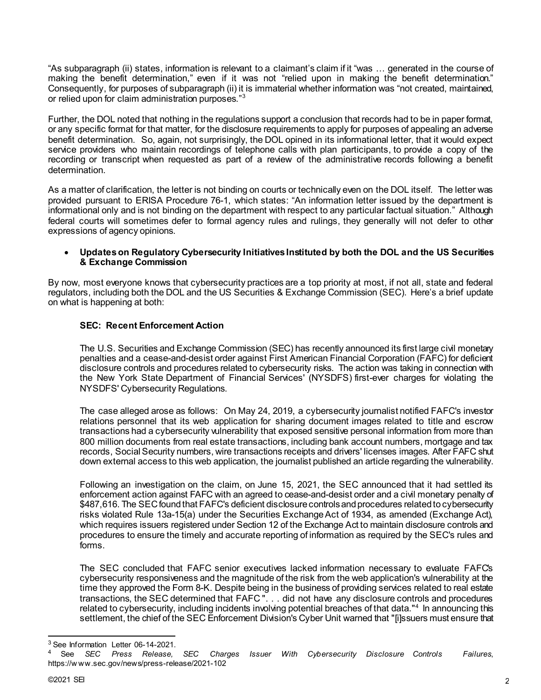"As subparagraph (ii) states, information is relevant to a claimant's claim if it "was … generated in the course of making the benefit determination," even if it was not "relied upon in making the benefit determination." Consequently, for purposes of subparagraph (ii) it is immaterial whether information was "not created, maintained, or relied upon for claim administration purposes."[3](#page-1-0)

Further, the DOL noted that nothing in the regulations support a conclusion that records had to be in paper format, or any specific format for that matter, for the disclosure requirements to apply for purposes of appealing an adverse benefit determination. So, again, not surprisingly, the DOL opined in its informational letter, that it would expect service providers who maintain recordings of telephone calls with plan participants, to provide a copy of the recording or transcript when requested as part of a review of the administrative records following a benefit determination.

As a matter of clarification, the letter is not binding on courts or technically even on the DOL itself. The letter was provided pursuant to ERISA Procedure 76-1, which states: "An information letter issued by the department is informational only and is not binding on the department with respect to any particular factual situation." Although federal courts will sometimes defer to formal agency rules and rulings, they generally will not defer to other expressions of agency opinions.

### • **Updates on Regulatory Cybersecurity Initiatives Instituted by both the DOL and the US Securities & Exchange Commission**

By now, most everyone knows that cybersecurity practices are a top priority at most, if not all, state and federal regulators, including both the DOL and the US Securities & Exchange Commission (SEC). Here's a brief update on what is happening at both:

## **SEC: Recent Enforcement Action**

The U.S. Securities and Exchange Commission (SEC) has recently announced its first large civil monetary penalties and a cease-and-desist order against First American Financial Corporation (FAFC) for deficient disclosure controls and procedures related to cybersecurity risks. The action was taking in connection with the New York State Department of Financial Services' (NYSDFS) first-ever charges for violating the NYSDFS' Cybersecurity Regulations.

The case alleged arose as follows: On May 24, 2019, a cybersecurity journalist notified FAFC's investor relations personnel that its web application for sharing document images related to title and escrow transactions had a cybersecurity vulnerability that exposed sensitive personal information from more than 800 million documents from real estate transactions, including bank account numbers, mortgage and tax records, Social Security numbers, wire transactions receipts and drivers' licenses images. After FAFC shut down external access to this web application, the journalist published an article regarding the vulnerability.

Following an investigation on the claim, on June 15, 2021, the SEC announced that it had settled its enforcement action against FAFC with an agreed to cease-and-desist order and a civil monetary penalty of \$487,616. The SEC found that FAFC's deficient disclosure controls and procedures related to cybersecurity risks violated Rule 13a-15(a) under the Securities Exchange Act of 1934, as amended (Exchange Act), which requires issuers registered under Section 12 of the Exchange Act to maintain disclosure controls and procedures to ensure the timely and accurate reporting of information as required by the SEC's rules and forms.

The SEC concluded that FAFC senior executives lacked information necessary to evaluate FAFC's cybersecurity responsiveness and the magnitude of the risk from the web application's vulnerability at the time they approved the Form 8-K. Despite being in the business of providing services related to real estate transactions, the SEC determined that FAFC ". . . did not have any disclosure controls and procedures related to cybersecurity, including incidents involving potential breaches of that data."[4](#page-1-1) In announcing this settlement, the chief of the SEC Enforcement Division's Cyber Unit warned that "[i]ssuers must ensure that

<span id="page-1-0"></span><sup>&</sup>lt;sup>3</sup> See Information Letter 06-14-2021.

<span id="page-1-1"></span><sup>4</sup> See *SEC Press Release, SEC Charges Issuer With Cybersecurity Disclosure Controls Failures*, https://w ww.sec.gov/news/press-release/2021-102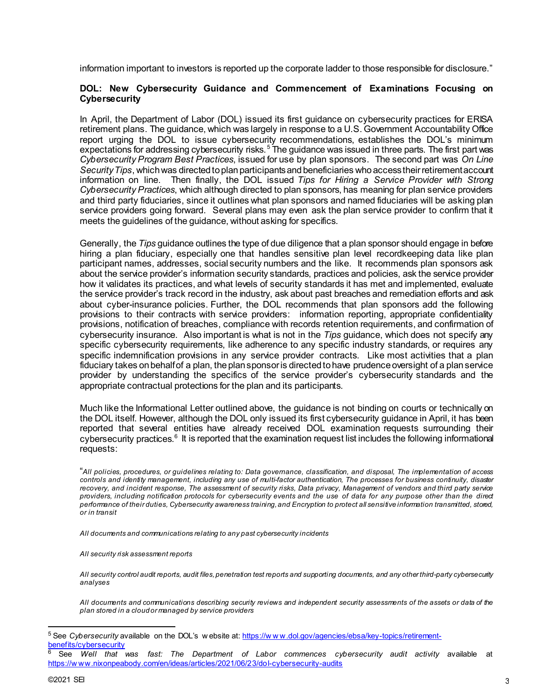information important to investors is reported up the corporate ladder to those responsible for disclosure."

#### **DOL: New Cybersecurity Guidance and Commencement of Examinations Focusing on Cybersecurity**

In April, the Department of Labor (DOL) issued its first guidance on cybersecurity practices for ERISA retirement plans. The guidance, which was largely in response to a U.S. Government Accountability Office report urging the DOL to issue cybersecurity recommendations, establishes the DOL's minimum expectations for addressing cybersecurity risks.<sup>[5](#page-2-0)</sup> The guidance was issued in three parts. The first part was *Cybersecurity Program Best Practices*, issued for use by plan sponsors. The second part was *On Line Security Tips*, which was directed to plan participants and beneficiaries who access their retirement account information on line. Then finally, the DOL issued *Tips for Hiring a Service Provider with Strong Cybersecurity Practices*, which although directed to plan sponsors, has meaning for plan service providers and third party fiduciaries, since it outlines what plan sponsors and named fiduciaries will be asking plan service providers going forward. Several plans may even ask the plan service provider to confirm that it meets the guidelines of the guidance, without asking for specifics.

Generally, the *Tips* guidance outlines the type of due diligence that a plan sponsor should engage in before hiring a plan fiduciary, especially one that handles sensitive plan level recordkeeping data like plan participant names, addresses, social security numbers and the like. It recommends plan sponsors ask about the service provider's information security standards, practices and policies, ask the service provider how it validates its practices, and what levels of security standards it has met and implemented, evaluate the service provider's track record in the industry, ask about past breaches and remediation efforts and ask about cyber-insurance policies. Further, the DOL recommends that plan sponsors add the following provisions to their contracts with service providers: information reporting, appropriate confidentiality provisions, notification of breaches, compliance with records retention requirements, and confirmation of cybersecurity insurance. Also important is what is not in the *Tips* guidance, which does not specify any specific cybersecurity requirements, like adherence to any specific industry standards, or requires any specific indemnification provisions in any service provider contracts. Like most activities that a plan fiduciary takes on behalf of a plan, the plan sponsor is directed to have prudence oversight of a plan service provider by understanding the specifics of the service provider's cybersecurity standards and the appropriate contractual protections for the plan and its participants.

Much like the Informational Letter outlined above, the guidance is not binding on courts or technically on the DOL itself. However, although the DOL only issued its first cybersecurity guidance in April, it has been reported that several entities have already received DOL examination requests surrounding their  $\,$ cyberse $\,$ curity practi $\,$ ces. $\,{}^6\,$  $\,{}^6\,$  $\,{}^6\,$  It is reported that the examination request list includes the following informational requests:

"*All policies, procedures, or guidelines relating to: Data governance, classification, and disposal, The implementation of access controls and identity management, including any use of multi-factor authentication, The processes for business continuity, disaster recovery, and incident response, The assessment of security risks, Data privacy, Management of vendors and third party service providers, including notification protocols for cybersecurity events and the use of data for any purpose other than the direct performance of their duties, Cybersecurity awareness training, and Encryption to protect all sensitive information transmitted, stored, or in transit*

*All documents and communications relating to any past cybersecurity incidents* 

*All security risk assessment reports*

*All security control audit reports, audit files, penetration test reports and supporting documents, and any other third-party cybersecurity analyses*

*All documents and communications describing security reviews and independent security assessments of the assets or data of the plan stored in a cloud or managed by service providers*

<span id="page-2-0"></span><sup>5</sup> See *Cybersecurity* available on the DOL's w ebsite at: [https://w w w.dol.gov/agencies/ebsa/key-topics/retirement](https://www.dol.gov/agencies/ebsa/key-topics/retirement-benefits/cybersecurity)[benefits/cybersecurity](https://www.dol.gov/agencies/ebsa/key-topics/retirement-benefits/cybersecurity)

<span id="page-2-1"></span><sup>6</sup> See *Well that was fast: The Department of Labor commences cybersecurity audit activity* available at [https://w ww.nixonpeabody.com/en/ideas/articles/2021/06/23/dol-cybersecurity-audits](https://www.nixonpeabody.com/en/ideas/articles/2021/06/23/dol-cybersecurity-audits)